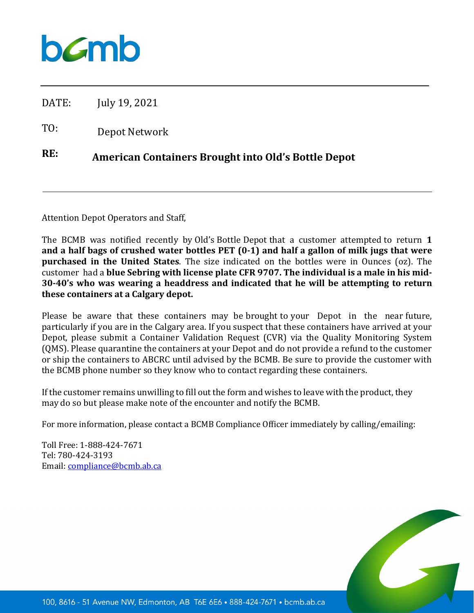

DATE: July 19, 2021

TO: Depot Network

## **RE: American Containers Brought into Old's Bottle Depot**

Attention Depot Operators and Staff,

The BCMB was notified recently by Old's Bottle Depot that a customer attempted to return **1 and a half bags of crushed water bottles PET (0-1) and half a gallon of milk jugs that were purchased in the United States**. The size indicated on the bottles were in Ounces (oz). The customer had a **blue Sebring with license plate CFR 9707. The individual is a male in his mid-30-40's who was wearing a headdress and indicated that he will be attempting to return these containers at a Calgary depot.**

Please be aware that these containers may be brought to your Depot in the near future, particularly if you are in the Calgary area. If you suspect that these containers have arrived at your Depot, please submit a Container Validation Request (CVR) via the Quality Monitoring System (QMS). Please quarantine the containers at your Depot and do not provide a refund to the customer or ship the containers to ABCRC until advised by the BCMB. Be sure to provide the customer with the BCMB phone number so they know who to contact regarding these containers.

If the customer remains unwilling to fill out the form and wishes to leave with the product, they may do so but please make note of the encounter and notify the BCMB.

For more information, please contact a BCMB Compliance Officer immediately by calling/emailing:

Toll Free: 1-888-424-7671 Tel: 780-424-3193 Email: [compliance@bcmb.ab.ca](mailto:compliance@bcmb.ab.ca)